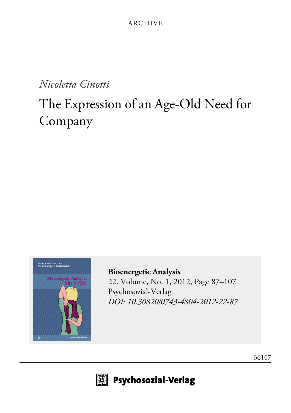### *Nicoletta Cinotti*

# The Expression of an Age-Old Need for Company



**[Bioenergetic Analysis](http://www.psychosozial-verlag.de/2159)** [22. Volume, No. 1, 2012, Page 87–107](http://www.psychosozial-verlag.de/2159) [Psychosozial-Verlag](http://www.psychosozial-verlag.de/2159) *[DOI: 10.30820/0743-4804-2012-22-87](https://doi.org/10.30820/0743-4804-2012-22-87)*



 $\boxplus$  Psychosozial-Verlag

[36107](http://www.psychosozial-verlag.de/36107)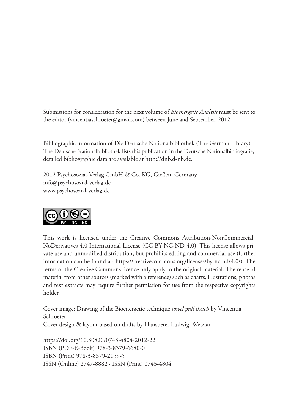Submissions for consideration for the next volume of *Bioenergetic Analysis* must be sent to the editor (vincentiaschroeter@gmail.com) between June and September, 2012.

Bibliographic information of Die Deutsche Nationalbibliothek (The German Library) The Deutsche Nationalbibliothek lists this publication in the Deutsche Nationalbibliografie; detailed bibliographic data are available at http://dnb.d-nb.de.

2012 Psychosozial-Verlag GmbH & Co. KG, Gießen, Germany info@psychosozial-verlag.de www.psychosozial-verlag.de



This work is licensed under the Creative Commons Attribution-NonCommercial-NoDerivatives 4.0 International License (CC BY-NC-ND 4.0). This license allows private use and unmodified distribution, but prohibits editing and commercial use (further information can be found at: https://creativecommons.org/licenses/by-nc-nd/4.0/). The terms of the Creative Commons licence only apply to the original material. The reuse of material from other sources (marked with a reference) such as charts, illustrations, photos and text extracts may require further permission for use from the respective copyrights holder.

Cover image: Drawing of the Bioenergetic technique *towel pull sketch* by Vincentia Schroeter Cover design & layout based on drafts by Hanspeter Ludwig, Wetzlar

https://doi.org/10.30820/0743-4804-2012-22 ISBN (PDF-E-Book) 978-3-8379-6680-0 ISBN (Print) 978-3-8379-2159-5 ISSN (Online) 2747-8882 · ISSN (Print) 0743-4804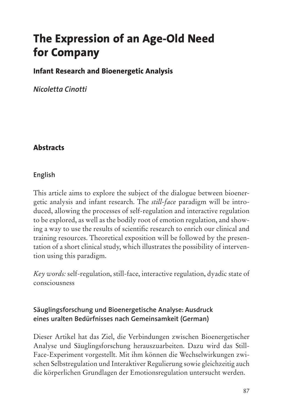## **The Expression of an Age-Old Need for Company**

#### **Infant Research and Bioenergetic Analysis**

*Nicoletta Cinotti*

#### **Abstracts**

#### **English**

This article aims to explore the subject of the dialogue between bioenergetic analysis and infant research. The *still-face* paradigm will be introduced, allowing the processes of self-regulation and interactive regulation to be explored, as well as the bodily root of emotion regulation, and showing a way to use the results of scientific research to enrich our clinical and training resources. Theoretical exposition will be followed by the presentation of a short clinical study, which illustrates the possibility of intervention using this paradigm.

*Key words:* self-regulation, still-face, interactive regulation, dyadic state of consciousness

#### **Säuglingsforschung und Bioenergetische Analyse: Ausdruck eines uralten Bedürfnisses nach Gemeinsamkeit (German)**

Dieser Artikel hat das Ziel, die Verbindungen zwischen Bioenergetischer Analyse und Säuglingsforschung herauszuarbeiten. Dazu wird das Still-Face-Experiment vorgestellt. Mit ihm können die Wechselwirkungen zwischen Selbstregulation und Interaktiver Regulierung sowie gleichzeitig auch die körperlichen Grundlagen der Emotionsregulation untersucht werden.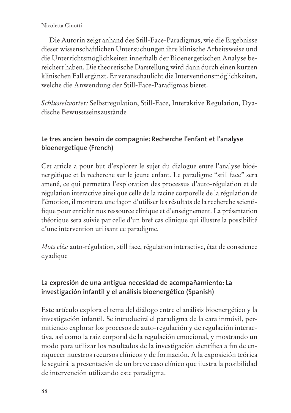Die Autorin zeigt anhand des Still-Face-Paradigmas, wie die Ergebnisse dieser wissenschaftlichen Untersuchungen ihre klinische Arbeitsweise und die Unterrichtsmöglichkeiten innerhalb der Bioenergetischen Analyse bereichert haben. Die theoretische Darstellung wird dann durch einen kurzen klinischen Fall ergänzt. Er veranschaulicht die Interventionsmöglichkeiten, welche die Anwendung der Still-Face-Paradigmas bietet.

*Schlüsselwörter:* Selbstregulation, Still-Face, Interaktive Regulation, Dyadische Bewusstseinszustände

#### **Le tres ancien besoin de compagnie: Recherche l'enfant et l'analyse bioenergetique (French)**

Cet article a pour but d'explorer le sujet du dialogue entre l'analyse bioénergétique et la recherche sur le jeune enfant. Le paradigme "still face" sera amené, ce qui permettra l'exploration des processus d'auto-régulation et de régulation interactive ainsi que celle de la racine corporelle de la régulation de l'émotion, il montrera une façon d'utiliser les résultats de la recherche scientifique pour enrichir nos ressource clinique et d'enseignement. La présentation théorique sera suivie par celle d'un bref cas clinique qui illustre la possibilité d'une intervention utilisant ce paradigme.

*Mots clés:* auto-régulation, still face, régulation interactive, état de conscience dyadique

#### **La expresión de una antigua necesidad de acompañamiento: La investigación infantil y el análisis bioenergético (Spanish)**

Este artículo explora el tema del diálogo entre el análisis bioenergético y la investigación infantil. Se introducirá el paradigma de la cara inmóvil, permitiendo explorar los procesos de auto-regulación y de regulación interactiva, así como la raíz corporal de la regulación emocional, y mostrando un modo para utilizar los resultados de la investigación científica a fin de enriquecer nuestros recursos clínicos y de formación. A la exposición teórica le seguirá la presentación de un breve caso clínico que ilustra la posibilidad de intervención utilizando este paradigma.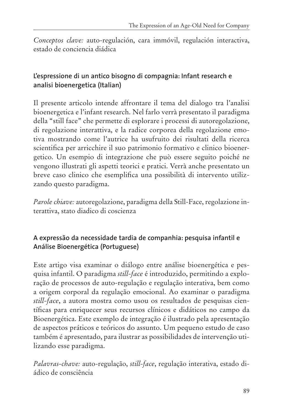*Conceptos clave:* auto-regulación, cara immóvil, regulación interactiva, estado de conciencia diádica

#### **L'espressione di un antico bisogno di compagnia: Infant research e analisi bioenergetica (Italian)**

Il presente articolo intende affrontare il tema del dialogo tra l'analisi bioenergetica e l'infant research. Nel farlo verrà presentato il paradigma della "still face" che permette di esplorare i processi di autoregolazione, di regolazione interattiva, e la radice corporea della regolazione emotiva mostrando come l'autrice ha usufruito dei risultati della ricerca scientifica per arricchire il suo patrimonio formativo e clinico bioenergetico. Un esempio di integrazione che può essere seguito poiché ne vengono illustrati gli aspetti teorici e pratici. Verrà anche presentato un breve caso clinico che esemplifica una possibilità di intervento utilizzando questo paradigma.

*Parole chiave:* autoregolazione, paradigma della Still-Face, regolazione interattiva, stato diadico di coscienza

#### **A expressão da necessidade tardia de companhia: pesquisa infantil e Análise Bioenergética (Portuguese)**

Este artigo visa examinar o diálogo entre análise bioenergética e pesquisa infantil. O paradigma *still-face* é introduzido, permitindo a exploração de processos de auto-regulação e regulação interativa, bem como a origem corporal da regulação emocional. Ao examinar o paradigma *still-face*, a autora mostra como usou os resultados de pesquisas científicas para enriquecer seus recursos clínicos e didáticos no campo da Bioenergética. Este exemplo de integração é ilustrado pela apresentação de aspectos práticos e teóricos do assunto. Um pequeno estudo de caso também é apresentado, para ilustrar as possibilidades de intervenção utilizando esse paradigma.

*Palavras-chave:* auto-regulação, *still-face*, regulação interativa, estado diádico de consciência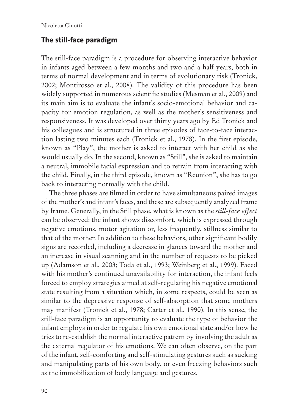#### **The still-face paradigm**

The still-face paradigm is a procedure for observing interactive behavior in infants aged between a few months and two and a half years, both in terms of normal development and in terms of evolutionary risk (Tronick, 2002; Montirosso et al., 2008). The validity of this procedure has been widely supported in numerous scientific studies (Mesman et al., 2009) and its main aim is to evaluate the infant's socio-emotional behavior and capacity for emotion regulation, as well as the mother's sensitiveness and responsiveness. It was developed over thirty years ago by Ed Tronick and his colleagues and is structured in three episodes of face-to-face interaction lasting two minutes each (Tronick et al., 1978). In the first episode, known as "Play", the mother is asked to interact with her child as she would usually do. In the second, known as "Still", she is asked to maintain a neutral, immobile facial expression and to refrain from interacting with the child. Finally, in the third episode, known as "Reunion", she has to go back to interacting normally with the child.

The three phases are filmed in order to have simultaneous paired images of the mother's and infant's faces, and these are subsequently analyzed frame by frame. Generally, in the Still phase, what is known as the *still-face effect* can be observed: the infant shows discomfort, which is expressed through negative emotions, motor agitation or, less frequently, stillness similar to that of the mother. In addition to these behaviors, other significant bodily signs are recorded, including a decrease in glances toward the mother and an increase in visual scanning and in the number of requests to be picked up (Adamson et al., 2003; Toda et al., 1993; Weinberg et al., 1999). Faced with his mother's continued unavailability for interaction, the infant feels forced to employ strategies aimed at self-regulating his negative emotional state resulting from a situation which, in some respects, could be seen as similar to the depressive response of self-absorption that some mothers may manifest (Tronick et al., 1978; Carter et al., 1990). In this sense, the still-face paradigm is an opportunity to evaluate the type of behavior the infant employs in order to regulate his own emotional state and/or how he tries to re-establish the normal interactive pattern by involving the adult as the external regulator of his emotions. We can often observe, on the part of the infant, self-comforting and self-stimulating gestures such as sucking and manipulating parts of his own body, or even freezing behaviors such as the immobilization of body language and gestures.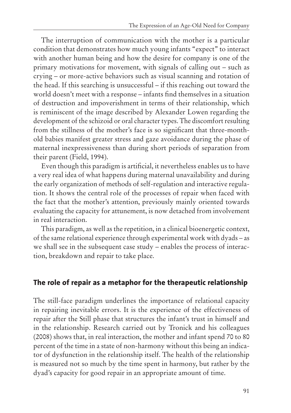The interruption of communication with the mother is a particular condition that demonstrates how much young infants "expect" to interact with another human being and how the desire for company is one of the primary motivations for movement, with signals of calling out – such as crying – or more-active behaviors such as visual scanning and rotation of the head. If this searching is unsuccessful – if this reaching out toward the world doesn't meet with a response – infants find themselves in a situation of destruction and impoverishment in terms of their relationship, which is reminiscent of the image described by Alexander Lowen regarding the development of the schizoid or oral character types. The discomfort resulting from the stillness of the mother's face is so significant that three-monthold babies manifest greater stress and gaze avoidance during the phase of maternal inexpressiveness than during short periods of separation from their parent (Field, 1994).

Even though this paradigm is artificial, it nevertheless enables us to have a very real idea of what happens during maternal unavailability and during the early organization of methods of self-regulation and interactive regulation. It shows the central role of the processes of repair when faced with the fact that the mother's attention, previously mainly oriented towards evaluating the capacity for attunement, is now detached from involvement in real interaction.

This paradigm, as well as the repetition, in a clinical bioenergetic context, of the same relational experience through experimental work with dyads – as we shall see in the subsequent case study – enables the process of interaction, breakdown and repair to take place.

#### **The role of repair as a metaphor for the therapeutic relationship**

The still-face paradigm underlines the importance of relational capacity in repairing inevitable errors. It is the experience of the effectiveness of repair after the Still phase that structures the infant's trust in himself and in the relationship. Research carried out by Tronick and his colleagues (2008) shows that, in real interaction, the mother and infant spend 70 to 80 percent of the time in a state of non-harmony without this being an indicator of dysfunction in the relationship itself. The health of the relationship is measured not so much by the time spent in harmony, but rather by the dyad's capacity for good repair in an appropriate amount of time.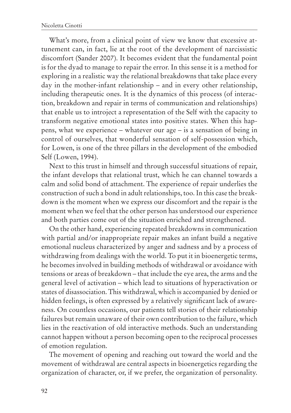What's more, from a clinical point of view we know that excessive attunement can, in fact, lie at the root of the development of narcissistic discomfort (Sander 2007). It becomes evident that the fundamental point is for the dyad to manage to repair the error. In this sense it is a method for exploring in a realistic way the relational breakdowns that take place every day in the mother-infant relationship – and in every other relationship, including therapeutic ones. It is the dynamics of this process (of interaction, breakdown and repair in terms of communication and relationships) that enable us to introject a representation of the Self with the capacity to transform negative emotional states into positive states. When this happens, what we experience – whatever our age – is a sensation of being in control of ourselves, that wonderful sensation of self-possession which, for Lowen, is one of the three pillars in the development of the embodied Self (Lowen, 1994).

Next to this trust in himself and through successful situations of repair, the infant develops that relational trust, which he can channel towards a calm and solid bond of attachment. The experience of repair underlies the construction of such a bond in adult relationships, too. In this case the breakdown is the moment when we express our discomfort and the repair is the moment when we feel that the other person has understood our experience and both parties come out of the situation enriched and strengthened.

On the other hand, experiencing repeated breakdowns in communication with partial and/or inappropriate repair makes an infant build a negative emotional nucleus characterized by anger and sadness and by a process of withdrawing from dealings with the world. To put it in bioenergetic terms, he becomes involved in building methods of withdrawal or avoidance with tensions or areas of breakdown – that include the eye area, the arms and the general level of activation – which lead to situations of hyperactivation or states of disassociation. This withdrawal, which is accompanied by denied or hidden feelings, is often expressed by a relatively significant lack of awareness. On countless occasions, our patients tell stories of their relationship failures but remain unaware of their own contribution to the failure, which lies in the reactivation of old interactive methods. Such an understanding cannot happen without a person becoming open to the reciprocal processes of emotion regulation.

The movement of opening and reaching out toward the world and the movement of withdrawal are central aspects in bioenergetics regarding the organization of character, or, if we prefer, the organization of personality.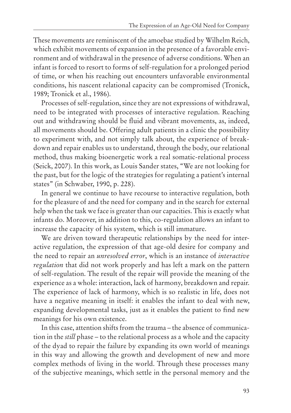These movements are reminiscent of the amoebae studied by Wilhelm Reich, which exhibit movements of expansion in the presence of a favorable environment and of withdrawal in the presence of adverse conditions. When an infant is forced to resort to forms of self-regulation for a prolonged period of time, or when his reaching out encounters unfavorable environmental conditions, his nascent relational capacity can be compromised (Tronick, 1989; Tronick et al., 1986).

Processes of self-regulation, since they are not expressions of withdrawal, need to be integrated with processes of interactive regulation. Reaching out and withdrawing should be fluid and vibrant movements, as, indeed, all movements should be. Offering adult patients in a clinic the possibility to experiment with, and not simply talk about, the experience of breakdown and repair enables us to understand, through the body, our relational method, thus making bioenergetic work a real somatic-relational process (Seick, 2007). In this work, as Louis Sander states, "We are not looking for the past, but for the logic of the strategies for regulating a patient's internal states" (in Schwaber, 1990, p. 228).

In general we continue to have recourse to interactive regulation, both for the pleasure of and the need for company and in the search for external help when the task we face is greater than our capacities. This is exactly what infants do. Moreover, in addition to this, co-regulation allows an infant to increase the capacity of his system, which is still immature.

We are driven toward therapeutic relationships by the need for interactive regulation, the expression of that age-old desire for company and the need to repair an *unresolved error*, which is an instance of *interactive regulation* that did not work properly and has left a mark on the pattern of self-regulation. The result of the repair will provide the meaning of the experience as a whole: interaction, lack of harmony, breakdown and repair. The experience of lack of harmony, which is so realistic in life, does not have a negative meaning in itself: it enables the infant to deal with new, expanding developmental tasks, just as it enables the patient to find new meanings for his own existence.

In this case, attention shifts from the trauma – the absence of communication in the *still* phase – to the relational process as a whole and the capacity of the dyad to repair the failure by expanding its own world of meanings in this way and allowing the growth and development of new and more complex methods of living in the world. Through these processes many of the subjective meanings, which settle in the personal memory and the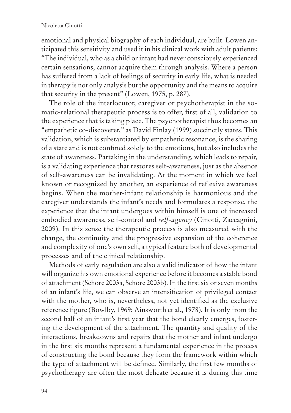emotional and physical biography of each individual, are built. Lowen anticipated this sensitivity and used it in his clinical work with adult patients: "The individual, who as a child or infant had never consciously experienced certain sensations, cannot acquire them through analysis. Where a person has suffered from a lack of feelings of security in early life, what is needed in therapy is not only analysis but the opportunity and the means to acquire that security in the present" (Lowen, 1975, p. 287).

The role of the interlocutor, caregiver or psychotherapist in the somatic-relational therapeutic process is to offer, first of all, validation to the experience that is taking place. The psychotherapist thus becomes an "empathetic co-discoverer," as David Finlay (1999) succinctly states. This validation, which is substantiated by empathetic resonance, is the sharing of a state and is not confined solely to the emotions, but also includes the state of awareness. Partaking in the understanding, which leads to repair, is a validating experience that restores self-awareness, just as the absence of self-awareness can be invalidating. At the moment in which we feel known or recognized by another, an experience of reflexive awareness begins. When the mother-infant relationship is harmonious and the caregiver understands the infant's needs and formulates a response, the experience that the infant undergoes within himself is one of increased embodied awareness, self-control and *self-agency* (Cinotti, Zaccagnini, 2009). In this sense the therapeutic process is also measured with the change, the continuity and the progressive expansion of the coherence and complexity of one's own self, a typical feature both of developmental processes and of the clinical relationship.

Methods of early regulation are also a valid indicator of how the infant will organize his own emotional experience before it becomes a stable bond of attachment (Schore 2003a, Schore 2003b). In the first six or seven months of an infant's life, we can observe an intensification of privileged contact with the mother, who is, nevertheless, not yet identified as the exclusive reference figure (Bowlby, 1969; Ainsworth et al., 1978). It is only from the second half of an infant's first year that the bond clearly emerges, fostering the development of the attachment. The quantity and quality of the interactions, breakdowns and repairs that the mother and infant undergo in the first six months represent a fundamental experience in the process of constructing the bond because they form the framework within which the type of attachment will be defined. Similarly, the first few months of psychotherapy are often the most delicate because it is during this time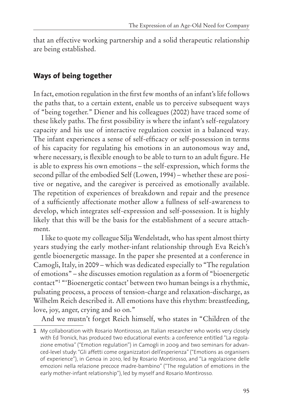that an effective working partnership and a solid therapeutic relationship are being established.

#### **Ways of being together**

In fact, emotion regulation in the first few months of an infant's life follows the paths that, to a certain extent, enable us to perceive subsequent ways of "being together." Diener and his colleagues (2002) have traced some of these likely paths. The first possibility is where the infant's self-regulatory capacity and his use of interactive regulation coexist in a balanced way. The infant experiences a sense of self-efficacy or self-possession in terms of his capacity for regulating his emotions in an autonomous way and, where necessary, is flexible enough to be able to turn to an adult figure. He is able to express his own emotions – the self-expression, which forms the second pillar of the embodied Self (Lowen, 1994) – whether these are positive or negative, and the caregiver is perceived as emotionally available. The repetition of experiences of breakdown and repair and the presence of a sufficiently affectionate mother allow a fullness of self-awareness to develop, which integrates self-expression and self-possession. It is highly likely that this will be the basis for the establishment of a secure attachment.

I like to quote my colleague Silja Wendelstadt, who has spent almost thirty years studying the early mother-infant relationship through Eva Reich's gentle bioenergetic massage. In the paper she presented at a conference in Camogli, Italy, in 2009 – which was dedicated especially to "The regulation of emotions" – she discusses emotion regulation as a form of "bioenergetic contact"1 "'Bioenergetic contact' between two human beings is a rhythmic, pulsating process, a process of tension-charge and relaxation-discharge, as Wilhelm Reich described it. All emotions have this rhythm: breastfeeding, love, joy, anger, crying and so on."

And we mustn't forget Reich himself, who states in "Children of the

**<sup>1</sup>** My collaboration with Rosario Montirosso, an Italian researcher who works very closely with Ed Tronick, has produced two educational events: a conference entitled "La regolazione emotiva"("Emotion regulation") in Camogli in 2009 and two seminars for advanced-level study:"Gli affetti come organizzatori dell'esperienza"("Emotions as organisers of experience"), in Genoa in 2010, led by Rosario Montirosso, and "La regolazione delle emozioni nella relazione precoce madre-bambino" ("The regulation of emotions in the early mother-infant relationship"), led by myself and Rosario Montirosso.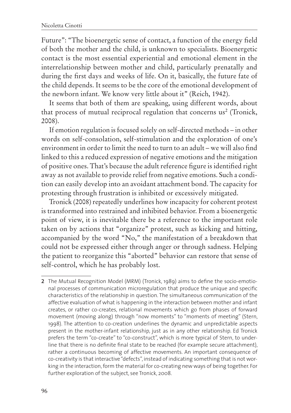Future": "The bioenergetic sense of contact, a function of the energy field of both the mother and the child, is unknown to specialists. Bioenergetic contact is the most essential experiential and emotional element in the interrelationship between mother and child, particularly prenatally and during the first days and weeks of life. On it, basically, the future fate of the child depends. It seems to be the core of the emotional development of the newborn infant. We know very little about it" (Reich, 1942).

It seems that both of them are speaking, using different words, about that process of mutual reciprocal regulation that concerns us<sup>2</sup> (Tronick, 2008).

If emotion regulation is focused solely on self-directed methods – in other words on self-consolation, self-stimulation and the exploration of one's environment in order to limit the need to turn to an adult – we will also find linked to this a reduced expression of negative emotions and the mitigation of positive ones. That's because the adult reference figure is identified right away as not available to provide relief from negative emotions. Such a condition can easily develop into an avoidant attachment bond. The capacity for protesting through frustration is inhibited or excessively mitigated.

Tronick (2008) repeatedly underlines how incapacity for coherent protest is transformed into restrained and inhibited behavior. From a bioenergetic point of view, it is inevitable there be a reference to the important role taken on by actions that "organize" protest, such as kicking and hitting, accompanied by the word "No," the manifestation of a breakdown that could not be expressed either through anger or through sadness. Helping the patient to reorganize this "aborted" behavior can restore that sense of self-control, which he has probably lost.

**<sup>2</sup>** The Mutual Recognition Model (MRM) (Tronick, 1989) aims to define the socio-emotional processes of communication microregulation that produce the unique and specific characteristics of the relationship in question. The simultaneous communication of the affective evaluation of what is happening in the interaction between mother and infant creates, or rather co-creates, relational movements which go from phases of forward movement (moving along) through "now moments" to "moments of meeting" (Stern, 1998). The attention to co-creation underlines the dynamic and unpredictable aspects present in the mother-infant relationship, just as in any other relationship. Ed Tronick prefers the term "co-create" to "co-construct", which is more typical of Stern, to underline that there is no definite final state to be reached (for example secure attachment), rather a continuous becoming of affective movements. An important consequence of co-creativity is that interactive"defects", instead of indicating something that is not working in the interaction,form the material for co-creating new ways of being together. For further exploration of the subject, see Tronick, 2008.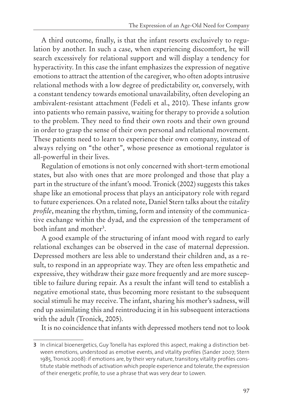A third outcome, finally, is that the infant resorts exclusively to regulation by another. In such a case, when experiencing discomfort, he will search excessively for relational support and will display a tendency for hyperactivity. In this case the infant emphasizes the expression of negative emotions to attract the attention of the caregiver, who often adopts intrusive relational methods with a low degree of predictability or, conversely, with a constant tendency towards emotional unavailability, often developing an ambivalent-resistant attachment (Fedeli et al., 2010). These infants grow into patients who remain passive, waiting for therapy to provide a solution to the problem. They need to find their own roots and their own ground in order to grasp the sense of their own personal and relational movement. These patients need to learn to experience their own company, instead of always relying on "the other", whose presence as emotional regulator is all-powerful in their lives.

Regulation of emotions is not only concerned with short-term emotional states, but also with ones that are more prolonged and those that play a part in the structure of the infant's mood. Tronick (2002) suggests this takes shape like an emotional process that plays an anticipatory role with regard to future experiences. On a related note, Daniel Stern talks about the *vitality profile*, meaning the rhythm, timing, form and intensity of the communicative exchange within the dyad, and the expression of the temperament of both infant and mother3.

A good example of the structuring of infant mood with regard to early relational exchanges can be observed in the case of maternal depression. Depressed mothers are less able to understand their children and, as a result, to respond in an appropriate way. They are often less empathetic and expressive, they withdraw their gaze more frequently and are more susceptible to failure during repair. As a result the infant will tend to establish a negative emotional state, thus becoming more resistant to the subsequent social stimuli he may receive. The infant, sharing his mother's sadness, will end up assimilating this and reintroducing it in his subsequent interactions with the adult (Tronick, 2005).

It is no coincidence that infants with depressed mothers tend not to look

**<sup>3</sup>** In clinical bioenergetics, Guy Tonella has explored this aspect, making a distinction between emotions, understood as emotive events, and vitality profiles (Sander 2007; Stern 1985, Tronick 2008): if emotions are, by their very nature, transitory, vitality profiles constitute stable methods of activation which people experience and tolerate, the expression of their energetic profile, to use a phrase that was very dear to Lowen.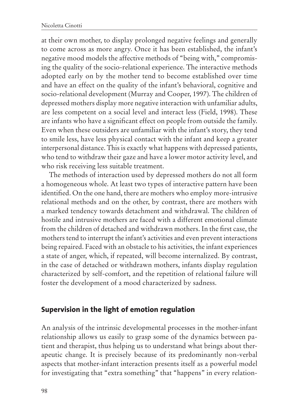at their own mother, to display prolonged negative feelings and generally to come across as more angry. Once it has been established, the infant's negative mood models the affective methods of "being with," compromising the quality of the socio-relational experience. The interactive methods adopted early on by the mother tend to become established over time and have an effect on the quality of the infant's behavioral, cognitive and socio-relational development (Murray and Cooper, 1997). The children of depressed mothers display more negative interaction with unfamiliar adults, are less competent on a social level and interact less (Field, 1998). These are infants who have a significant effect on people from outside the family. Even when these outsiders are unfamiliar with the infant's story, they tend to smile less, have less physical contact with the infant and keep a greater interpersonal distance. This is exactly what happens with depressed patients, who tend to withdraw their gaze and have a lower motor activity level, and who risk receiving less suitable treatment.

The methods of interaction used by depressed mothers do not all form a homogeneous whole. At least two types of interactive pattern have been identified. On the one hand, there are mothers who employ more-intrusive relational methods and on the other, by contrast, there are mothers with a marked tendency towards detachment and withdrawal. The children of hostile and intrusive mothers are faced with a different emotional climate from the children of detached and withdrawn mothers. In the first case, the mothers tend to interrupt the infant's activities and even prevent interactions being repaired. Faced with an obstacle to his activities, the infant experiences a state of anger, which, if repeated, will become internalized. By contrast, in the case of detached or withdrawn mothers, infants display regulation characterized by self-comfort, and the repetition of relational failure will foster the development of a mood characterized by sadness.

#### **Supervision in the light of emotion regulation**

An analysis of the intrinsic developmental processes in the mother-infant relationship allows us easily to grasp some of the dynamics between patient and therapist, thus helping us to understand what brings about therapeutic change. It is precisely because of its predominantly non-verbal aspects that mother-infant interaction presents itself as a powerful model for investigating that "extra something" that "happens" in every relation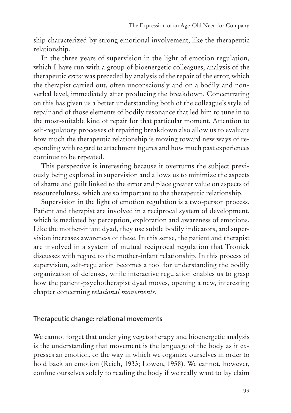ship characterized by strong emotional involvement, like the therapeutic relationship.

In the three years of supervision in the light of emotion regulation, which I have run with a group of bioenergetic colleagues, analysis of the therapeutic *error* was preceded by analysis of the repair of the error, which the therapist carried out, often unconsciously and on a bodily and nonverbal level, immediately after producing the breakdown. Concentrating on this has given us a better understanding both of the colleague's style of repair and of those elements of bodily resonance that led him to tune in to the most-suitable kind of repair for that particular moment. Attention to self-regulatory processes of repairing breakdown also allow us to evaluate how much the therapeutic relationship is moving toward new ways of responding with regard to attachment figures and how much past experiences continue to be repeated.

This perspective is interesting because it overturns the subject previously being explored in supervision and allows us to minimize the aspects of shame and guilt linked to the error and place greater value on aspects of resourcefulness, which are so important to the therapeutic relationship.

Supervision in the light of emotion regulation is a two-person process. Patient and therapist are involved in a reciprocal system of development, which is mediated by perception, exploration and awareness of emotions. Like the mother-infant dyad, they use subtle bodily indicators, and supervision increases awareness of these. In this sense, the patient and therapist are involved in a system of mutual reciprocal regulation that Tronick discusses with regard to the mother-infant relationship. In this process of supervision, self-regulation becomes a tool for understanding the bodily organization of defenses, while interactive regulation enables us to grasp how the patient-psychotherapist dyad moves, opening a new, interesting chapter concerning *relational movements*.

#### **Therapeutic change: relational movements**

We cannot forget that underlying vegetotherapy and bioenergetic analysis is the understanding that movement is the language of the body as it expresses an emotion, or the way in which we organize ourselves in order to hold back an emotion (Reich, 1933; Lowen, 1958). We cannot, however, confine ourselves solely to reading the body if we really want to lay claim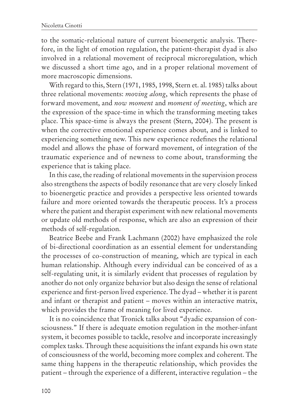to the somatic-relational nature of current bioenergetic analysis. Therefore, in the light of emotion regulation, the patient-therapist dyad is also involved in a relational movement of reciprocal microregulation, which we discussed a short time ago, and in a proper relational movement of more macroscopic dimensions.

With regard to this, Stern (1971, 1985, 1998, Stern et. al. 1985) talks about three relational movements: *moving along*, which represents the phase of forward movement, and *now moment* and *moment of meeting*, which are the expression of the space-time in which the transforming meeting takes place. This space-time is always the present (Stern, 2004). The present is when the corrective emotional experience comes about, and is linked to experiencing something new. This new experience redefines the relational model and allows the phase of forward movement, of integration of the traumatic experience and of newness to come about, transforming the experience that is taking place.

In this case, the reading of relational movements in the supervision process also strengthens the aspects of bodily resonance that are very closely linked to bioenergetic practice and provides a perspective less oriented towards failure and more oriented towards the therapeutic process. It's a process where the patient and therapist experiment with new relational movements or update old methods of response, which are also an expression of their methods of self-regulation.

Beatrice Beebe and Frank Lachmann (2002) have emphasized the role of bi-directional coordination as an essential element for understanding the processes of co-construction of meaning, which are typical in each human relationship. Although every individual can be conceived of as a self-regulating unit, it is similarly evident that processes of regulation by another do not only organize behavior but also design the sense of relational experience and first-person lived experience. The dyad – whether it is parent and infant or therapist and patient – moves within an interactive matrix, which provides the frame of meaning for lived experience.

It is no coincidence that Tronick talks about "dyadic expansion of consciousness." If there is adequate emotion regulation in the mother-infant system, it becomes possible to tackle, resolve and incorporate increasingly complex tasks. Through these acquisitions the infant expands his own state of consciousness of the world, becoming more complex and coherent. The same thing happens in the therapeutic relationship, which provides the patient – through the experience of a different, interactive regulation – the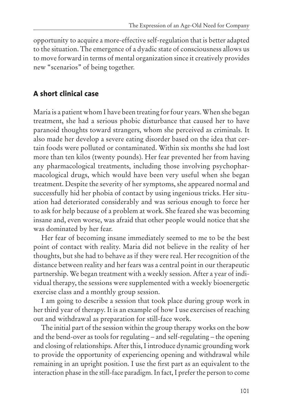opportunity to acquire a more-effective self-regulation that is better adapted to the situation. The emergence of a dyadic state of consciousness allows us to move forward in terms of mental organization since it creatively provides new "scenarios" of being together.

#### **A short clinical case**

Maria is a patient whom I have been treating for four years. When she began treatment, she had a serious phobic disturbance that caused her to have paranoid thoughts toward strangers, whom she perceived as criminals. It also made her develop a severe eating disorder based on the idea that certain foods were polluted or contaminated. Within six months she had lost more than ten kilos (twenty pounds). Her fear prevented her from having any pharmacological treatments, including those involving psychopharmacological drugs, which would have been very useful when she began treatment. Despite the severity of her symptoms, she appeared normal and successfully hid her phobia of contact by using ingenious tricks. Her situation had deteriorated considerably and was serious enough to force her to ask for help because of a problem at work. She feared she was becoming insane and, even worse, was afraid that other people would notice that she was dominated by her fear.

Her fear of becoming insane immediately seemed to me to be the best point of contact with reality. Maria did not believe in the reality of her thoughts, but she had to behave as if they were real. Her recognition of the distance between reality and her fears was a central point in our therapeutic partnership. We began treatment with a weekly session. After a year of individual therapy, the sessions were supplemented with a weekly bioenergetic exercise class and a monthly group session.

I am going to describe a session that took place during group work in her third year of therapy. It is an example of how I use exercises of reaching out and withdrawal as preparation for still-face work.

The initial part of the session within the group therapy works on the bow and the bend-over as tools for regulating – and self-regulating – the opening and closing of relationships. After this, I introduce dynamic grounding work to provide the opportunity of experiencing opening and withdrawal while remaining in an upright position. I use the first part as an equivalent to the interaction phase in the still-face paradigm. In fact, I prefer the person to come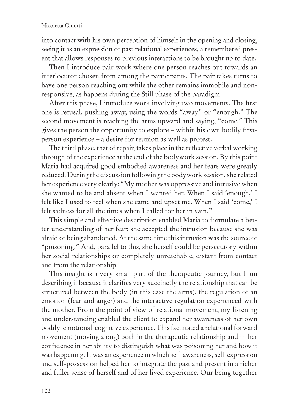into contact with his own perception of himself in the opening and closing, seeing it as an expression of past relational experiences, a remembered present that allows responses to previous interactions to be brought up to date.

Then I introduce pair work where one person reaches out towards an interlocutor chosen from among the participants. The pair takes turns to have one person reaching out while the other remains immobile and nonresponsive, as happens during the Still phase of the paradigm.

After this phase, I introduce work involving two movements. The first one is refusal, pushing away, using the words "away" or "enough." The second movement is reaching the arms upward and saying, "come." This gives the person the opportunity to explore – within his own bodily firstperson experience – a desire for reunion as well as protest.

The third phase, that of repair, takes place in the reflective verbal working through of the experience at the end of the bodywork session. By this point Maria had acquired good embodied awareness and her fears were greatly reduced. During the discussion following the bodywork session, she related her experience very clearly: "My mother was oppressive and intrusive when she wanted to be and absent when I wanted her. When I said 'enough,' I felt like I used to feel when she came and upset me. When I said 'come,' I felt sadness for all the times when I called for her in vain."

This simple and effective description enabled Maria to formulate a better understanding of her fear: she accepted the intrusion because she was afraid of being abandoned. At the same time this intrusion was the source of "poisoning." And, parallel to this, she herself could be persecutory within her social relationships or completely unreachable, distant from contact and from the relationship.

This insight is a very small part of the therapeutic journey, but I am describing it because it clarifies very succinctly the relationship that can be structured between the body (in this case the arms), the regulation of an emotion (fear and anger) and the interactive regulation experienced with the mother. From the point of view of relational movement, my listening and understanding enabled the client to expand her awareness of her own bodily-emotional-cognitive experience. This facilitated a relational forward movement (moving along) both in the therapeutic relationship and in her confidence in her ability to distinguish what was poisoning her and how it was happening. It was an experience in which self-awareness, self-expression and self-possession helped her to integrate the past and present in a richer and fuller sense of herself and of her lived experience. Our being together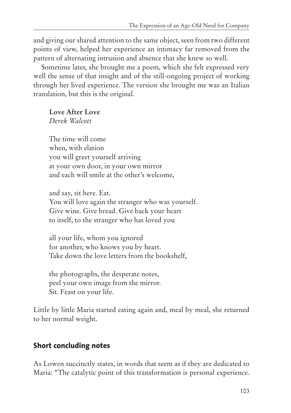and giving our shared attention to the same object, seen from two different points of view, helped her experience an intimacy far removed from the pattern of alternating intrusion and absence that she knew so well.

Sometime later, she brought me a poem, which she felt expressed very well the sense of that insight and of the still-ongoing project of working through her lived experience. The version she brought me was an Italian translation, but this is the original.

**Love After Love** *Derek Walcott*

The time will come when, with elation you will greet yourself arriving at your own door, in your own mirror and each will smile at the other's welcome,

and say, sit here. Eat. You will love again the stranger who was yourself. Give wine. Give bread. Give back your heart to itself, to the stranger who has loved you

all your life, whom you ignored for another, who knows you by heart. Take down the love letters from the bookshelf,

the photographs, the desperate notes, peel your own image from the mirror. Sit. Feast on your life.

Little by little Maria started eating again and, meal by meal, she returned to her normal weight.

#### **Short concluding notes**

As Lowen succinctly states, in words that seem as if they are dedicated to Maria: "The catalytic point of this transformation is personal experience.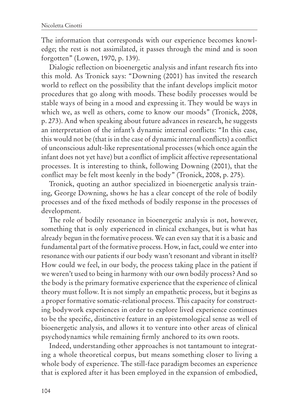The information that corresponds with our experience becomes knowledge; the rest is not assimilated, it passes through the mind and is soon forgotten" (Lowen, 1970, p. 139).

Dialogic reflection on bioenergetic analysis and infant research fits into this mold. As Tronick says: "Downing (2001) has invited the research world to reflect on the possibility that the infant develops implicit motor procedures that go along with moods. These bodily processes would be stable ways of being in a mood and expressing it. They would be ways in which we, as well as others, come to know our moods" (Tronick, 2008, p. 273). And when speaking about future advances in research, he suggests an interpretation of the infant's dynamic internal conflicts: "In this case, this would not be (that is in the case of dynamic internal conflicts) a conflict of unconscious adult-like representational processes (which once again the infant does not yet have) but a conflict of implicit affective representational processes. It is interesting to think, following Downing (2001), that the conflict may be felt most keenly in the body" (Tronick, 2008, p. 275).

Tronick, quoting an author specialized in bioenergetic analysis training, George Downing, shows he has a clear concept of the role of bodily processes and of the fixed methods of bodily response in the processes of development.

The role of bodily resonance in bioenergetic analysis is not, however, something that is only experienced in clinical exchanges, but is what has already begun in the formative process. We can even say that it is a basic and fundamental part of the formative process. How, in fact, could we enter into resonance with our patients if our body wasn't resonant and vibrant in itself? How could we feel, in our body, the process taking place in the patient if we weren't used to being in harmony with our own bodily process? And so the body is the primary formative experience that the experience of clinical theory must follow. It is not simply an empathetic process, but it begins as a proper formative somatic-relational process. This capacity for constructing bodywork experiences in order to explore lived experience continues to be the specific, distinctive feature in an epistemological sense as well of bioenergetic analysis, and allows it to venture into other areas of clinical psychodynamics while remaining firmly anchored to its own roots.

Indeed, understanding other approaches is not tantamount to integrating a whole theoretical corpus, but means something closer to living a whole body of experience. The still-face paradigm becomes an experience that is explored after it has been employed in the expansion of embodied,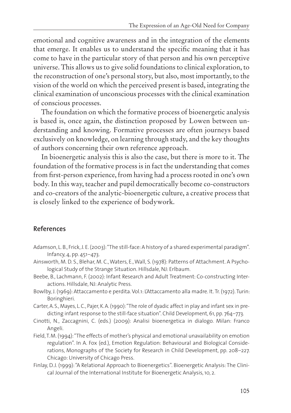emotional and cognitive awareness and in the integration of the elements that emerge. It enables us to understand the specific meaning that it has come to have in the particular story of that person and his own perceptive universe. This allows us to give solid foundations to clinical exploration, to the reconstruction of one's personal story, but also, most importantly, to the vision of the world on which the perceived present is based, integrating the clinical examination of unconscious processes with the clinical examination of conscious processes.

The foundation on which the formative process of bioenergetic analysis is based is, once again, the distinction proposed by Lowen between understanding and knowing. Formative processes are often journeys based exclusively on knowledge, on learning through study, and the key thoughts of authors concerning their own reference approach.

In bioenergetic analysis this is also the case, but there is more to it. The foundation of the formative process is in fact the understanding that comes from first-person experience, from having had a process rooted in one's own body. In this way, teacher and pupil democratically become co-constructors and co-creators of the analytic-bioenergetic culture, a creative process that is closely linked to the experience of bodywork.

#### **References**

Adamson, L. B., Frick, J. E. (2003): "The still-face: A history of a shared experimental paradigm". Infancy, 4, pp. 451–473.

Ainsworth, M. D. S., Blehar, M. C.,Waters, E.,Wall, S. (1978): Patterns of Attachment. A Psychological Study of the Strange Situation. Hillsdale, NJ: Erlbaum.

- Beebe, B., Lachmann, F. (2002): Infant Research and Adult Treatment: Co-constructing Interactions. Hillsdale, NJ: Analytic Press.
- Bowlby, J. (1969): Attaccamento e perdita.Vol.1: L'Attaccamento alla madre. It. Tr. (1972). Turin: Boringhieri.

Carter,A.S., Mayes, L.C., Pajer, K.A. (1990):"The role of dyadic affect in play and infant sex in predicting infant response to the still-face situation". Child Development, 61, pp. 764–773.

- Cinotti, N., Zaccagnini, C. (eds.) (2009): Analisi bioenergetica in dialogo. Milan: Franco Angeli.
- Field,T.M. (1994):"The effects of mother's physical and emotional unavailability on emotion regulation". In A. Fox (ed.), Emotion Regulation: Behavioural and Biological Considerations, Monographs of the Society for Research in Child Development, pp. 208–227. Chicago: University of Chicago Press.
- Finlay, D.J. (1999): "A Relational Approach to Bioenergetics". Bioenergetic Analysis: The Clinical Journal of the International Institute for Bioenergetic Analysis, 10, 2.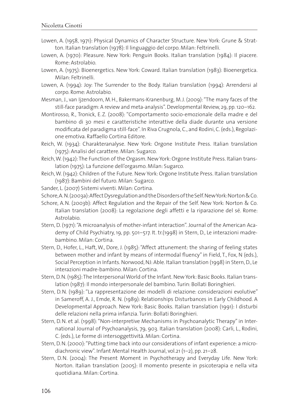- Lowen, A. (1958, 1971): Physical Dynamics of Character Structure. New York: Grune & Stratton. Italian translation (1978): Il linguaggio del corpo. Milan: Feltrinelli.
- Lowen, A. (1970): Pleasure. New York: Penguin Books. Italian translation (1984): Il piacere. Rome: Astrolabio.
- Lowen, A. (1975): Bioenergetics. New York: Coward. Italian translation (1983): Bioenergetica. Milan: Feltrinelli.
- Lowen, A. (1994): Joy: The Surrender to the Body. Italian translation (1994): Arrendersi al corpo. Rome: Astrolabio.
- Mesman, J., van Ijzendoorn, M.H., Bakermans-Kranenburg, M. J. (2009):"The many faces of the still-face paradigm: A review and meta-analysis". Developmental Review, 29, pp. 120–162.
- Montirosso, R., Tronick, E.Z. (2008): "Comportamento socio-emozionale della madre e del bambino di 30 mesi e caratteristiche interattive della diade durante una versione modificata del paradigma still-face". In Riva Crugnola,C., and Rodini,C. (eds.), Regolazione emotiva. Raffaello Cortina Editore.
- Reich, W. (1934): Charakteranalyse. New York: Orgone Institute Press. Italian translation (1975): Analisi del carattere. Milan: Sugarco.
- Reich,W. (1942):The Function of the Orgasm. New York: Orgone Institute Press. Italian translation (1975): La funzione dell'orgasmo. Milan: Sugarco.
- Reich,W. (1942): Children of the Future. New York: Orgone Institute Press. Italian translation (1987): Bambini del futuro. Milan: Sugarco.
- Sander, L. (2007) Sistemi viventi. Milan: Cortina.
- Schore,A.N.(2003a):AffectDysregulationandtheDisordersoftheSelf.NewYork:Norton&Co.
- Schore, A.N. (2003b): Affect Regulation and the Repair of the Self. New York: Norton & Co. Italian translation (2008): La regolazione degli affetti e la riparazione del sé. Rome: Astrolabio.
- Stern, D. (1971):"A microanalysis of mother-infant interaction". Journal of the American Academy of Child Psychiatry, 19, pp. 501–517. It. tr.(1998) in Stern, D., Le interazioni madrebambino. Milan: Cortina.
- Stern, D., Hofer, L., Haft, W., Dore, J. (1985):"Affect attunement: the sharing of feeling states between mother and infant by means of intermodal fluency"in Field, T., Fox, N (eds.), Social Perception in Infants. Norwood, NJ: Able. Italian translation (1998) in Stern, D., Le interazioni madre-bambino. Milan: Cortina.
- Stern, D.N. (1985): The Interpersonal World of the Infant. New York: Basic Books. Italian translation (1987): Il mondo interpersonale del bambino. Turin: Bollati Boringhieri.
- Stern, D.N. (1989): "La rappresentazione dei modelli di relazione: considerazioni evolutive" in Sameroff, A. J., Emde, R. N. (1989): Relationships Disturbances in Early Childhood. A Developmental Approach. New York: Basic Books. Italian translation (1991): I disturbi delle relazioni nella prima infanzia. Turin: Bollati Boringhieri.
- Stern, D.N. et al. (1998):"Non-interpretive Mechanisms in Psychoanalytic Therapy"in International Journal of Psychoanalysis, 79, 903. Italian translation (2008): Carli, L., Rodini, C. (eds.), Le forme di intersoggettività. Milan: Cortina.
- Stern,D.N. (2000):"Putting time back into our considerations of infant experience: a microdiachronic view". Infant Mental Health Journal, vol.21 (1–2), pp. 21–28.
- Stern, D.N. (2004): The Present Moment in Psychotherapy and Everyday Life. New York: Norton. Italian translation (2005): Il momento presente in psicoterapia e nella vita quotidiana. Milan: Cortina.